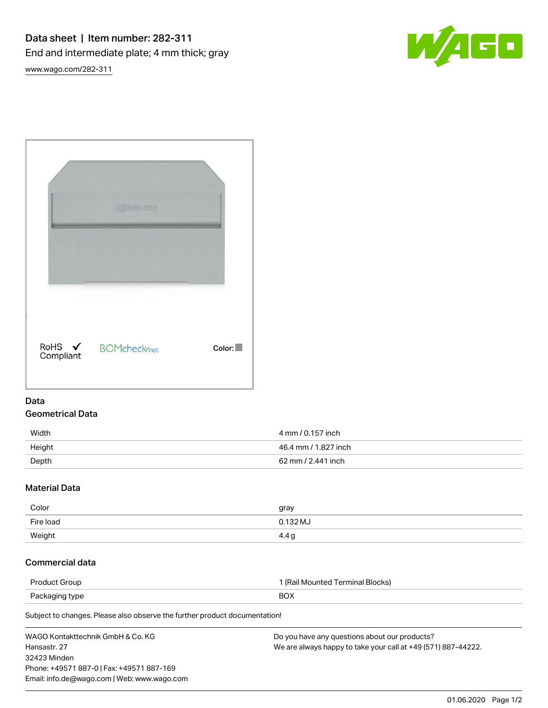Data sheet | Item number: 282-311 End and intermediate plate; 4 mm thick; gray

[www.wago.com/282-311](http://www.wago.com/282-311)



|                     | $C/4F$ <sup>o</sup> 282        |        |
|---------------------|--------------------------------|--------|
| RoHS ✔<br>Compliant | <b>BOMcheck</b> <sub>net</sub> | Color: |

## Data Geometrical Data

| Width  | 4 mm / 0.157 inch    |
|--------|----------------------|
| Height | 46.4 mm / 1.827 inch |
| Depth  | 62 mm / 2.441 inch   |

# Material Data

| Color     | gray     |
|-----------|----------|
| Fire load | 0.132 MJ |
| Weight    | 4.4 c    |

## Commercial data

| Product Group  | 1 (Rail Mounted Terminal Blocks) |
|----------------|----------------------------------|
| Packaging type | BOX                              |

Subject to changes. Please also observe the further product documentation!

| WAGO Kontakttechnik GmbH & Co. KG           | Do you have any questions about our products?                 |
|---------------------------------------------|---------------------------------------------------------------|
| Hansastr. 27                                | We are always happy to take your call at +49 (571) 887-44222. |
| 32423 Minden                                |                                                               |
| Phone: +49571 887-0   Fax: +49571 887-169   |                                                               |
| Email: info.de@wago.com   Web: www.wago.com |                                                               |